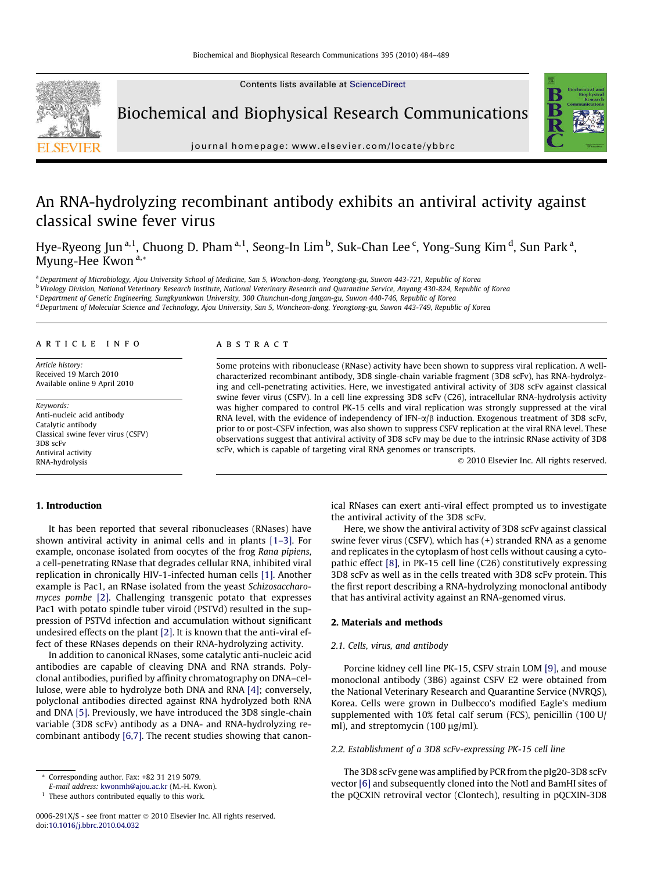Contents lists available at [ScienceDirect](http://www.sciencedirect.com/science/journal/0006291X)



Biochemical and Biophysical Research Communications



journal homepage: [www.elsevier.com/locate/ybbrc](http://www.elsevier.com/locate/ybbrc)

# An RNA-hydrolyzing recombinant antibody exhibits an antiviral activity against classical swine fever virus

Hye-Ryeong Jun <sup>a, 1</sup>, Chuong D. Pham <sup>a, 1</sup>, Seong-In Lim <sup>b</sup>, Suk-Chan Lee <sup>c</sup>, Yong-Sung Kim <sup>d</sup>, Sun Park <sup>a</sup>, Myung-Hee Kwon<sup>a,\*</sup>

a Department of Microbiology, Ajou University School of Medicine, San 5, Wonchon-dong, Yeongtong-gu, Suwon 443-721, Republic of Korea

<sup>b</sup> Virology Division, National Veterinary Research Institute, National Veterinary Research and Quarantine Service, Anyang 430-824, Republic of Korea

<sup>c</sup> Department of Genetic Engineering, Sungkyunkwan University, 300 Chunchun-dong Jangan-gu, Suwon 440-746, Republic of Korea

<sup>d</sup> Department of Molecular Science and Technology, Ajou University, San 5, Woncheon-dong, Yeongtong-gu, Suwon 443-749, Republic of Korea

# article info

Article history: Received 19 March 2010 Available online 9 April 2010

Keywords: Anti-nucleic acid antibody Catalytic antibody Classical swine fever virus (CSFV) 3D8 scFv Antiviral activity RNA-hydrolysis

#### **ABSTRACT**

Some proteins with ribonuclease (RNase) activity have been shown to suppress viral replication. A wellcharacterized recombinant antibody, 3D8 single-chain variable fragment (3D8 scFv), has RNA-hydrolyzing and cell-penetrating activities. Here, we investigated antiviral activity of 3D8 scFv against classical swine fever virus (CSFV). In a cell line expressing 3D8 scFv (C26), intracellular RNA-hydrolysis activity was higher compared to control PK-15 cells and viral replication was strongly suppressed at the viral RNA level, with the evidence of independency of IFN- $\alpha/\beta$  induction. Exogenous treatment of 3D8 scFv, prior to or post-CSFV infection, was also shown to suppress CSFV replication at the viral RNA level. These observations suggest that antiviral activity of 3D8 scFv may be due to the intrinsic RNase activity of 3D8 scFv, which is capable of targeting viral RNA genomes or transcripts.

- 2010 Elsevier Inc. All rights reserved.

# 1. Introduction

It has been reported that several ribonucleases (RNases) have shown antiviral activity in animal cells and in plants [\[1–3\]](#page-4-0). For example, onconase isolated from oocytes of the frog Rana pipiens, a cell-penetrating RNase that degrades cellular RNA, inhibited viral replication in chronically HIV-1-infected human cells [\[1\].](#page-4-0) Another example is Pac1, an RNase isolated from the yeast Schizosaccharomyces pombe [\[2\]](#page-5-0). Challenging transgenic potato that expresses Pac1 with potato spindle tuber viroid (PSTVd) resulted in the suppression of PSTVd infection and accumulation without significant undesired effects on the plant [\[2\]](#page-5-0). It is known that the anti-viral effect of these RNases depends on their RNA-hydrolyzing activity.

In addition to canonical RNases, some catalytic anti-nucleic acid antibodies are capable of cleaving DNA and RNA strands. Polyclonal antibodies, purified by affinity chromatography on DNA–cellulose, were able to hydrolyze both DNA and RNA [\[4\]](#page-5-0); conversely, polyclonal antibodies directed against RNA hydrolyzed both RNA and DNA [\[5\].](#page-5-0) Previously, we have introduced the 3D8 single-chain variable (3D8 scFv) antibody as a DNA- and RNA-hydrolyzing recombinant antibody [\[6,7\]](#page-5-0). The recent studies showing that canonical RNases can exert anti-viral effect prompted us to investigate the antiviral activity of the 3D8 scFv.

Here, we show the antiviral activity of 3D8 scFv against classical swine fever virus (CSFV), which has (+) stranded RNA as a genome and replicates in the cytoplasm of host cells without causing a cytopathic effect [\[8\]](#page-5-0), in PK-15 cell line (C26) constitutively expressing 3D8 scFv as well as in the cells treated with 3D8 scFv protein. This the first report describing a RNA-hydrolyzing monoclonal antibody that has antiviral activity against an RNA-genomed virus.

# 2. Materials and methods

## 2.1. Cells, virus, and antibody

Porcine kidney cell line PK-15, CSFV strain LOM [\[9\]](#page-5-0), and mouse monoclonal antibody (3B6) against CSFV E2 were obtained from the National Veterinary Research and Quarantine Service (NVRQS), Korea. Cells were grown in Dulbecco's modified Eagle's medium supplemented with 10% fetal calf serum (FCS), penicillin (100 U/ ml), and streptomycin (100  $\mu$ g/ml).

# 2.2. Establishment of a 3D8 scFv-expressing PK-15 cell line

The 3D8 scFv gene was amplified by PCR from the pIg20-3D8 scFv vector [\[6\]](#page-5-0) and subsequently cloned into the NotI and BamHI sites of the pQCXIN retroviral vector (Clontech), resulting in pQCXIN-3D8

Corresponding author. Fax: +82 31 219 5079.

E-mail address: [kwonmh@ajou.ac.kr](mailto:kwonmh@ajou.ac.kr) (M.-H. Kwon).

 $1$  These authors contributed equally to this work.

<sup>0006-291</sup>X/\$ - see front matter © 2010 Elsevier Inc. All rights reserved. doi:[10.1016/j.bbrc.2010.04.032](http://dx.doi.org/10.1016/j.bbrc.2010.04.032)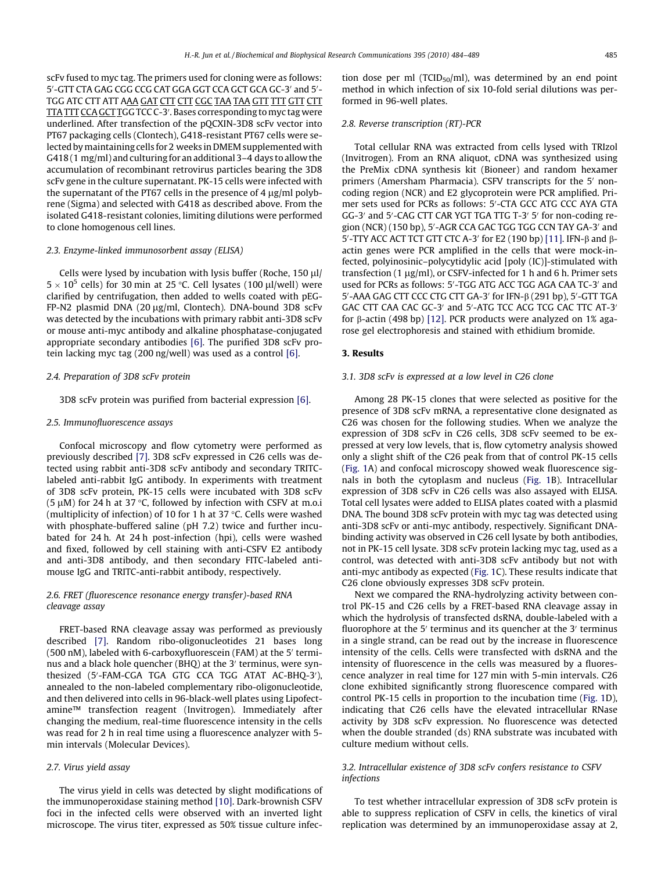scFv fused to myc tag. The primers used for cloning were as follows: 5'-GTT CTA GAG CGG CCG CAT GGA GGT CCA GCT GCA GC-3' and 5'-TGG ATC CTT ATT AAA GAT CTT CTT CGC TAA TAA GTT TTT GTT CTT <u>TTA TTT CCA GCT T</u>GG TCC C-3'. Bases corresponding to myc tag were underlined. After transfection of the pQCXIN-3D8 scFv vector into PT67 packaging cells (Clontech), G418-resistant PT67 cells were selected by maintaining cells for 2 weeks in DMEM supplemented with G418 (1 mg/ml) and culturing for an additional 3–4 days to allow the accumulation of recombinant retrovirus particles bearing the 3D8 scFv gene in the culture supernatant. PK-15 cells were infected with the supernatant of the PT67 cells in the presence of 4  $\mu$ g/ml polybrene (Sigma) and selected with G418 as described above. From the isolated G418-resistant colonies, limiting dilutions were performed to clone homogenous cell lines.

#### 2.3. Enzyme-linked immunosorbent assay (ELISA)

Cells were lysed by incubation with lysis buffer (Roche,  $150 \mu$ l)  $5 \times 10^5$  cells) for 30 min at 25 °C. Cell lysates (100  $\mu$ l/well) were clarified by centrifugation, then added to wells coated with pEG-FP-N2 plasmid DNA (20 µg/ml, Clontech). DNA-bound 3D8 scFv was detected by the incubations with primary rabbit anti-3D8 scFv or mouse anti-myc antibody and alkaline phosphatase-conjugated appropriate secondary antibodies [\[6\]](#page-5-0). The purified 3D8 scFv protein lacking myc tag (200 ng/well) was used as a control [\[6\]](#page-5-0).

#### 2.4. Preparation of 3D8 scFv protein

3D8 scFv protein was purified from bacterial expression [\[6\]](#page-5-0).

#### 2.5. Immunofluorescence assays

Confocal microscopy and flow cytometry were performed as previously described [\[7\].](#page-5-0) 3D8 scFv expressed in C26 cells was detected using rabbit anti-3D8 scFv antibody and secondary TRITClabeled anti-rabbit IgG antibody. In experiments with treatment of 3D8 scFv protein, PK-15 cells were incubated with 3D8 scFv (5  $\mu$ M) for 24 h at 37 °C, followed by infection with CSFV at m.o.i (multiplicity of infection) of 10 for 1 h at 37  $\degree$ C. Cells were washed with phosphate-buffered saline (pH 7.2) twice and further incubated for 24 h. At 24 h post-infection (hpi), cells were washed and fixed, followed by cell staining with anti-CSFV E2 antibody and anti-3D8 antibody, and then secondary FITC-labeled antimouse IgG and TRITC-anti-rabbit antibody, respectively.

# 2.6. FRET (fluorescence resonance energy transfer)-based RNA cleavage assay

FRET-based RNA cleavage assay was performed as previously described [\[7\].](#page-5-0) Random ribo-oligonucleotides 21 bases long (500 nM), labeled with 6-carboxyfluorescein (FAM) at the 5 $^{\prime}$  terminus and a black hole quencher (BHQ) at the 3' terminus, were synthesized (5'-FAM-CGA TGA GTG CCA TGG ATAT AC-BHQ-3'), annealed to the non-labeled complementary ribo-oligonucleotide, and then delivered into cells in 96-black-well plates using Lipofectamine™ transfection reagent (Invitrogen). Immediately after changing the medium, real-time fluorescence intensity in the cells was read for 2 h in real time using a fluorescence analyzer with 5 min intervals (Molecular Devices).

## 2.7. Virus yield assay

The virus yield in cells was detected by slight modifications of the immunoperoxidase staining method [\[10\].](#page-5-0) Dark-brownish CSFV foci in the infected cells were observed with an inverted light microscope. The virus titer, expressed as 50% tissue culture infection dose per ml (TCID<sub>50</sub>/ml), was determined by an end point method in which infection of six 10-fold serial dilutions was performed in 96-well plates.

## 2.8. Reverse transcription (RT)-PCR

Total cellular RNA was extracted from cells lysed with TRIzol (Invitrogen). From an RNA aliquot, cDNA was synthesized using the PreMix cDNA synthesis kit (Bioneer) and random hexamer primers (Amersham Pharmacia). CSFV transcripts for the 5' noncoding region (NCR) and E2 glycoprotein were PCR amplified. Primer sets used for PCRs as follows: 5'-CTA GCC ATG CCC AYA GTA GG-3' and 5'-CAG CTT CAR YGT TGA TTG T-3' 5' for non-coding region (NCR) (150 bp), 5'-AGR CCA GAC TGG TGG CCN TAY GA-3' and 5'-TTY ACC ACT TCT GTT CTC A-3' for E2 (190 bp) [\[11\]](#page-5-0). IFN-β and βactin genes were PCR amplified in the cells that were mock-infected, polyinosinic–polycytidylic acid [poly (IC)]-stimulated with transfection  $(1 \mu g/ml)$ , or CSFV-infected for 1 h and 6 h. Primer sets used for PCRs as follows: 5'-TGG ATG ACC TGG AGA CAA TC-3' and 5'-AAA GAG CTT CCC CTG CTT GA-3' for IFN-β (291 bp), 5'-GTT TGA GAC CTT CAA CAC GC-3' and 5'-ATG TCC ACG TCG CAC TTC AT-3' for  $\beta$ -actin (498 bp) [\[12\].](#page-5-0) PCR products were analyzed on 1% agarose gel electrophoresis and stained with ethidium bromide.

#### 3. Results

#### 3.1. 3D8 scFv is expressed at a low level in C26 clone

Among 28 PK-15 clones that were selected as positive for the presence of 3D8 scFv mRNA, a representative clone designated as C26 was chosen for the following studies. When we analyze the expression of 3D8 scFv in C26 cells, 3D8 scFv seemed to be expressed at very low levels, that is, flow cytometry analysis showed only a slight shift of the C26 peak from that of control PK-15 cells ([Fig. 1](#page-2-0)A) and confocal microscopy showed weak fluorescence signals in both the cytoplasm and nucleus ([Fig. 1](#page-2-0)B). Intracellular expression of 3D8 scFv in C26 cells was also assayed with ELISA. Total cell lysates were added to ELISA plates coated with a plasmid DNA. The bound 3D8 scFv protein with myc tag was detected using anti-3D8 scFv or anti-myc antibody, respectively. Significant DNAbinding activity was observed in C26 cell lysate by both antibodies, not in PK-15 cell lysate. 3D8 scFv protein lacking myc tag, used as a control, was detected with anti-3D8 scFv antibody but not with anti-myc antibody as expected [\(Fig. 1C](#page-2-0)). These results indicate that C26 clone obviously expresses 3D8 scFv protein.

Next we compared the RNA-hydrolyzing activity between control PK-15 and C26 cells by a FRET-based RNA cleavage assay in which the hydrolysis of transfected dsRNA, double-labeled with a fluorophore at the 5 $^{\prime}$  terminus and its quencher at the 3 $^{\prime}$  terminus in a single strand, can be read out by the increase in fluorescence intensity of the cells. Cells were transfected with dsRNA and the intensity of fluorescence in the cells was measured by a fluorescence analyzer in real time for 127 min with 5-min intervals. C26 clone exhibited significantly strong fluorescence compared with control PK-15 cells in proportion to the incubation time [\(Fig. 1D](#page-2-0)), indicating that C26 cells have the elevated intracellular RNase activity by 3D8 scFv expression. No fluorescence was detected when the double stranded (ds) RNA substrate was incubated with culture medium without cells.

# 3.2. Intracellular existence of 3D8 scFv confers resistance to CSFV infections

To test whether intracellular expression of 3D8 scFv protein is able to suppress replication of CSFV in cells, the kinetics of viral replication was determined by an immunoperoxidase assay at 2,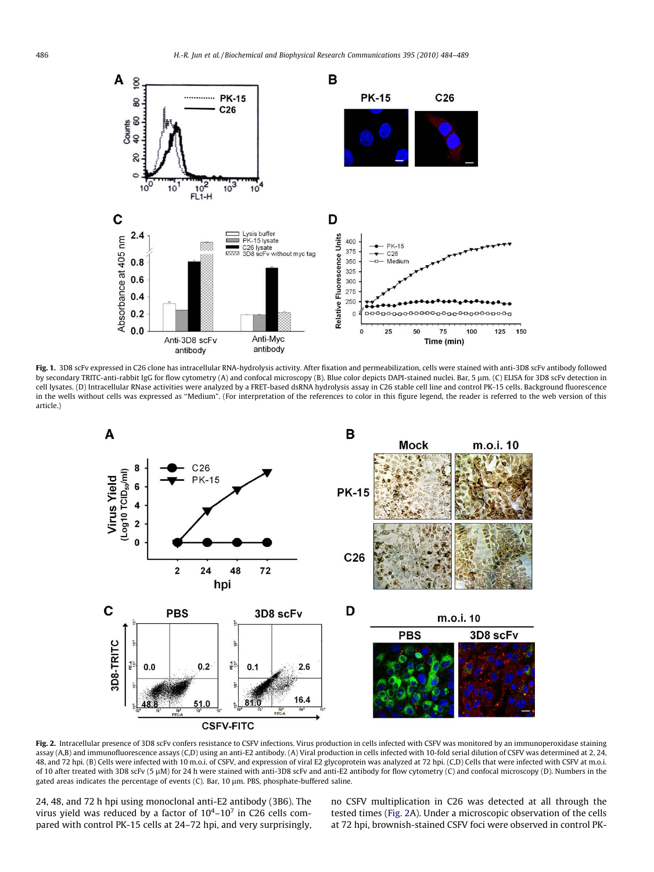<span id="page-2-0"></span>

Fig. 1. 3D8 scFv expressed in C26 clone has intracellular RNA-hydrolysis activity. After fixation and permeabilization, cells were stained with anti-3D8 scFv antibody followed by secondary TRITC-anti-rabbit IgG for flow cytometry (A) and confocal microscopy (B). Blue color depicts DAPI-stained nuclei. Bar, 5 µm. (C) ELISA for 3D8 scFv detection in cell lysates. (D) Intracellular RNase activities were analyzed by a FRET-based dsRNA hydrolysis assay in C26 stable cell line and control PK-15 cells. Background fluorescence in the wells without cells was expressed as ''Medium". (For interpretation of the references to color in this figure legend, the reader is referred to the web version of this article.)



Fig. 2. Intracellular presence of 3D8 scFv confers resistance to CSFV infections. Virus production in cells infected with CSFV was monitored by an immunoperoxidase staining assay (A,B) and immunofluorescence assays (C,D) using an anti-E2 antibody. (A) Viral production in cells infected with 10-fold serial dilution of CSFV was determined at 2, 24, 48, and 72 hpi. (B) Cells were infected with 10 m.o.i. of CSFV, and expression of viral E2 glycoprotein was analyzed at 72 hpi. (C,D) Cells that were infected with CSFV at m.o.i. of 10 after treated with 3D8 scFv (5 lM) for 24 h were stained with anti-3D8 scFv and anti-E2 antibody for flow cytometry (C) and confocal microscopy (D). Numbers in the gated areas indicates the percentage of events (C). Bar, 10 µm. PBS, phosphate-buffered saline.

24, 48, and 72 h hpi using monoclonal anti-E2 antibody (3B6). The virus yield was reduced by a factor of  $10^4$ – $10^7$  in C26 cells compared with control PK-15 cells at 24–72 hpi, and very surprisingly, no CSFV multiplication in C26 was detected at all through the tested times (Fig. 2A). Under a microscopic observation of the cells at 72 hpi, brownish-stained CSFV foci were observed in control PK-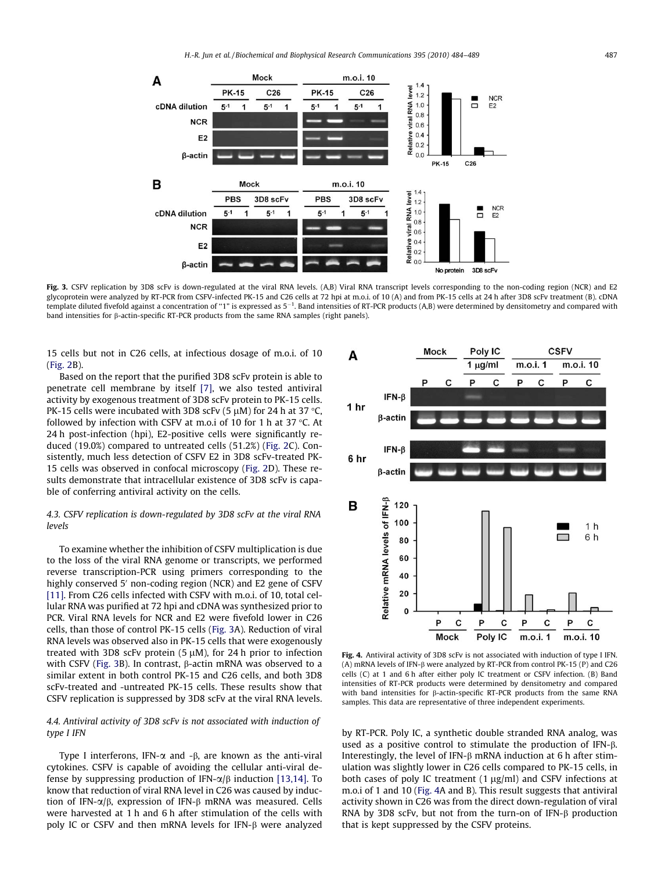<span id="page-3-0"></span>

Fig. 3. CSFV replication by 3D8 scFv is down-regulated at the viral RNA levels. (A,B) Viral RNA transcript levels corresponding to the non-coding region (NCR) and E2 glycoprotein were analyzed by RT-PCR from CSFV-infected PK-15 and C26 cells at 72 hpi at m.o.i. of 10 (A) and from PK-15 cells at 24 h after 3D8 scFv treatment (B). cDNA template diluted fivefold against a concentration of "1" is expressed as 5<sup>-1</sup>. Band intensities of RT-PCR products (A,B) were determined by densitometry and compared with band intensities for b-actin-specific RT-PCR products from the same RNA samples (right panels).

15 cells but not in C26 cells, at infectious dosage of m.o.i. of 10 ([Fig. 2](#page-2-0)B).

Based on the report that the purified 3D8 scFv protein is able to penetrate cell membrane by itself [\[7\]](#page-5-0), we also tested antiviral activity by exogenous treatment of 3D8 scFv protein to PK-15 cells. PK-15 cells were incubated with 3D8 scFv (5  $\mu$ M) for 24 h at 37 °C, followed by infection with CSFV at m.o.i of 10 for 1 h at 37  $\degree$ C. At 24 h post-infection (hpi), E2-positive cells were significantly reduced (19.0%) compared to untreated cells (51.2%) [\(Fig. 2](#page-2-0)C). Consistently, much less detection of CSFV E2 in 3D8 scFv-treated PK-15 cells was observed in confocal microscopy ([Fig. 2](#page-2-0)D). These results demonstrate that intracellular existence of 3D8 scFv is capable of conferring antiviral activity on the cells.

# 4.3. CSFV replication is down-regulated by 3D8 scFv at the viral RNA levels

To examine whether the inhibition of CSFV multiplication is due to the loss of the viral RNA genome or transcripts, we performed reverse transcription-PCR using primers corresponding to the highly conserved 5<sup>'</sup> non-coding region (NCR) and E2 gene of CSFV [\[11\]](#page-5-0). From C26 cells infected with CSFV with m.o.i. of 10, total cellular RNA was purified at 72 hpi and cDNA was synthesized prior to PCR. Viral RNA levels for NCR and E2 were fivefold lower in C26 cells, than those of control PK-15 cells (Fig. 3A). Reduction of viral RNA levels was observed also in PK-15 cells that were exogenously treated with 3D8 scFv protein (5  $\mu$ M), for 24 h prior to infection with CSFV (Fig. 3B). In contrast,  $\beta$ -actin mRNA was observed to a similar extent in both control PK-15 and C26 cells, and both 3D8 scFv-treated and -untreated PK-15 cells. These results show that CSFV replication is suppressed by 3D8 scFv at the viral RNA levels.

# 4.4. Antiviral activity of 3D8 scFv is not associated with induction of type I IFN

Type I interferons, IFN- $\alpha$  and - $\beta$ , are known as the anti-viral cytokines. CSFV is capable of avoiding the cellular anti-viral defense by suppressing production of IFN- $\alpha/\beta$  induction [\[13,14\]](#page-5-0). To know that reduction of viral RNA level in C26 was caused by induction of IFN- $\alpha/\beta$ , expression of IFN- $\beta$  mRNA was measured. Cells were harvested at 1 h and 6 h after stimulation of the cells with poly IC or CSFV and then mRNA levels for IFN- $\beta$  were analyzed



Fig. 4. Antiviral activity of 3D8 scFv is not associated with induction of type I IFN. (A) mRNA levels of IFN- $\beta$  were analyzed by RT-PCR from control PK-15 (P) and C26 cells (C) at 1 and 6 h after either poly IC treatment or CSFV infection. (B) Band intensities of RT-PCR products were determined by densitometry and compared with band intensities for  $\beta$ -actin-specific RT-PCR products from the same RNA samples. This data are representative of three independent experiments.

by RT-PCR. Poly IC, a synthetic double stranded RNA analog, was used as a positive control to stimulate the production of IFN-b. Interestingly, the level of IFN- $\beta$  mRNA induction at 6 h after stimulation was slightly lower in C26 cells compared to PK-15 cells, in both cases of poly IC treatment  $(1 \mu g/ml)$  and CSFV infections at m.o.i of 1 and 10 (Fig. 4A and B). This result suggests that antiviral activity shown in C26 was from the direct down-regulation of viral RNA by 3D8 scFv, but not from the turn-on of IFN- $\beta$  production that is kept suppressed by the CSFV proteins.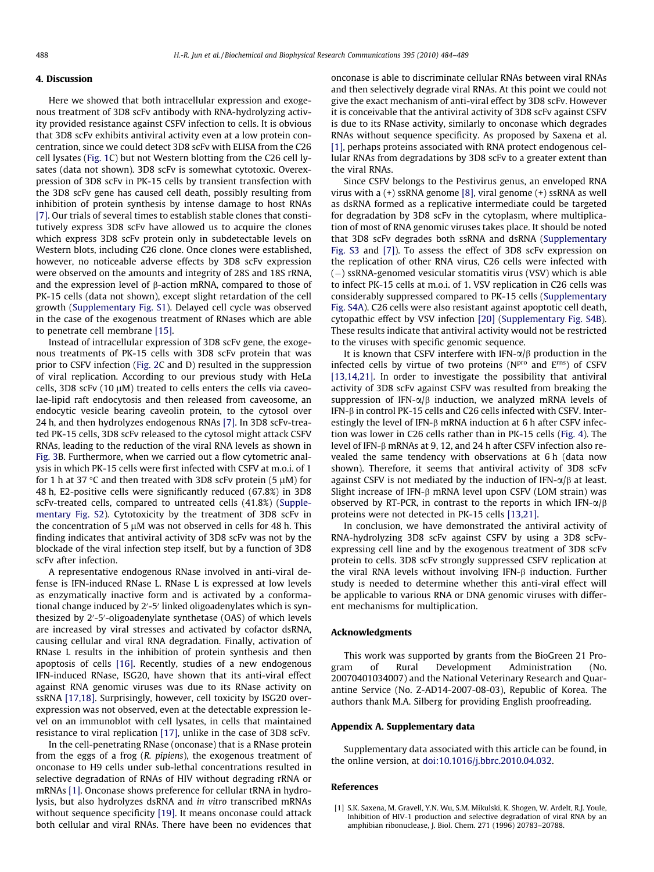# <span id="page-4-0"></span>4. Discussion

Here we showed that both intracellular expression and exogenous treatment of 3D8 scFv antibody with RNA-hydrolyzing activity provided resistance against CSFV infection to cells. It is obvious that 3D8 scFv exhibits antiviral activity even at a low protein concentration, since we could detect 3D8 scFv with ELISA from the C26 cell lysates [\(Fig. 1](#page-2-0)C) but not Western blotting from the C26 cell lysates (data not shown). 3D8 scFv is somewhat cytotoxic. Overexpression of 3D8 scFv in PK-15 cells by transient transfection with the 3D8 scFv gene has caused cell death, possibly resulting from inhibition of protein synthesis by intense damage to host RNAs [\[7\]](#page-5-0). Our trials of several times to establish stable clones that constitutively express 3D8 scFv have allowed us to acquire the clones which express 3D8 scFv protein only in subdetectable levels on Western blots, including C26 clone. Once clones were established, however, no noticeable adverse effects by 3D8 scFv expression were observed on the amounts and integrity of 28S and 18S rRNA, and the expression level of  $\beta$ -action mRNA, compared to those of PK-15 cells (data not shown), except slight retardation of the cell growth (Supplementary Fig. S1). Delayed cell cycle was observed in the case of the exogenous treatment of RNases which are able to penetrate cell membrane [\[15\].](#page-5-0)

Instead of intracellular expression of 3D8 scFv gene, the exogenous treatments of PK-15 cells with 3D8 scFv protein that was prior to CSFV infection [\(Fig. 2C](#page-2-0) and D) resulted in the suppression of viral replication. According to our previous study with HeLa cells, 3D8 scFv (10  $\mu$ M) treated to cells enters the cells via caveolae-lipid raft endocytosis and then released from caveosome, an endocytic vesicle bearing caveolin protein, to the cytosol over 24 h, and then hydrolyzes endogenous RNAs [\[7\]](#page-5-0). In 3D8 scFv-treated PK-15 cells, 3D8 scFv released to the cytosol might attack CSFV RNAs, leading to the reduction of the viral RNA levels as shown in [Fig. 3B](#page-3-0). Furthermore, when we carried out a flow cytometric analysis in which PK-15 cells were first infected with CSFV at m.o.i. of 1 for 1 h at 37 °C and then treated with 3D8 scFv protein (5  $\mu$ M) for 48 h, E2-positive cells were significantly reduced (67.8%) in 3D8 scFv-treated cells, compared to untreated cells (41.8%) (Supplementary Fig. S2). Cytotoxicity by the treatment of 3D8 scFv in the concentration of 5  $\mu$ M was not observed in cells for 48 h. This finding indicates that antiviral activity of 3D8 scFv was not by the blockade of the viral infection step itself, but by a function of 3D8 scFv after infection.

A representative endogenous RNase involved in anti-viral defense is IFN-induced RNase L. RNase L is expressed at low levels as enzymatically inactive form and is activated by a conformational change induced by 2′-5′ linked oligoadenylates which is synthesized by 2'-5'-oligoadenylate synthetase (OAS) of which levels are increased by viral stresses and activated by cofactor dsRNA, causing cellular and viral RNA degradation. Finally, activation of RNase L results in the inhibition of protein synthesis and then apoptosis of cells [\[16\]](#page-5-0). Recently, studies of a new endogenous IFN-induced RNase, ISG20, have shown that its anti-viral effect against RNA genomic viruses was due to its RNase activity on ssRNA [\[17,18\]](#page-5-0). Surprisingly, however, cell toxicity by ISG20 overexpression was not observed, even at the detectable expression level on an immunoblot with cell lysates, in cells that maintained resistance to viral replication [\[17\],](#page-5-0) unlike in the case of 3D8 scFv.

In the cell-penetrating RNase (onconase) that is a RNase protein from the eggs of a frog (R. pipiens), the exogenous treatment of onconase to H9 cells under sub-lethal concentrations resulted in selective degradation of RNAs of HIV without degrading rRNA or mRNAs [1]. Onconase shows preference for cellular tRNA in hydrolysis, but also hydrolyzes dsRNA and in vitro transcribed mRNAs without sequence specificity [\[19\]](#page-5-0). It means onconase could attack both cellular and viral RNAs. There have been no evidences that onconase is able to discriminate cellular RNAs between viral RNAs and then selectively degrade viral RNAs. At this point we could not give the exact mechanism of anti-viral effect by 3D8 scFv. However it is conceivable that the antiviral activity of 3D8 scFv against CSFV is due to its RNase activity, similarly to onconase which degrades RNAs without sequence specificity. As proposed by Saxena et al. [1], perhaps proteins associated with RNA protect endogenous cellular RNAs from degradations by 3D8 scFv to a greater extent than the viral RNAs.

Since CSFV belongs to the Pestivirus genus, an enveloped RNA virus with a (+) ssRNA genome [\[8\]](#page-5-0), viral genome (+) ssRNA as well as dsRNA formed as a replicative intermediate could be targeted for degradation by 3D8 scFv in the cytoplasm, where multiplication of most of RNA genomic viruses takes place. It should be noted that 3D8 scFv degrades both ssRNA and dsRNA (Supplementary Fig. S3 and [\[7\]\)](#page-5-0). To assess the effect of 3D8 scFv expression on the replication of other RNA virus, C26 cells were infected with  $(-)$  ssRNA-genomed vesicular stomatitis virus (VSV) which is able to infect PK-15 cells at m.o.i. of 1. VSV replication in C26 cells was considerably suppressed compared to PK-15 cells (Supplementary Fig. S4A). C26 cells were also resistant against apoptotic cell death, cytopathic effect by VSV infection [\[20\]](#page-5-0) (Supplementary Fig. S4B). These results indicate that antiviral activity would not be restricted to the viruses with specific genomic sequence.

It is known that CSFV interfere with IFN- $\alpha/\beta$  production in the infected cells by virtue of two proteins ( $N<sup>pro</sup>$  and  $E<sup>rns</sup>$ ) of CSFV [\[13,14,21\].](#page-5-0) In order to investigate the possibility that antiviral activity of 3D8 scFv against CSFV was resulted from breaking the suppression of IFN- $\alpha/\beta$  induction, we analyzed mRNA levels of IFN- $\beta$  in control PK-15 cells and C26 cells infected with CSFV. Interestingly the level of IFN- $\beta$  mRNA induction at 6 h after CSFV infection was lower in C26 cells rather than in PK-15 cells [\(Fig. 4](#page-3-0)). The level of IFN-β mRNAs at 9, 12, and 24 h after CSFV infection also revealed the same tendency with observations at 6 h (data now shown). Therefore, it seems that antiviral activity of 3D8 scFv against CSFV is not mediated by the induction of IFN- $\alpha/\beta$  at least. Slight increase of IFN- $\beta$  mRNA level upon CSFV (LOM strain) was observed by RT-PCR, in contrast to the reports in which IFN- $\alpha/\beta$ proteins were not detected in PK-15 cells [\[13,21\]](#page-5-0).

In conclusion, we have demonstrated the antiviral activity of RNA-hydrolyzing 3D8 scFv against CSFV by using a 3D8 scFvexpressing cell line and by the exogenous treatment of 3D8 scFv protein to cells. 3D8 scFv strongly suppressed CSFV replication at the viral RNA levels without involving IFN- $\beta$  induction. Further study is needed to determine whether this anti-viral effect will be applicable to various RNA or DNA genomic viruses with different mechanisms for multiplication.

#### Acknowledgments

This work was supported by grants from the BioGreen 21 Program of Rural Development Administration (No. 20070401034007) and the National Veterinary Research and Quarantine Service (No. Z-AD14-2007-08-03), Republic of Korea. The authors thank M.A. Silberg for providing English proofreading.

#### Appendix A. Supplementary data

Supplementary data associated with this article can be found, in the online version, at [doi:10.1016/j.bbrc.2010.04.032.](http://dx.doi.org/10.1016/j.bbrc.2010.04.032)

#### References

[1] S.K. Saxena, M. Gravell, Y.N. Wu, S.M. Mikulski, K. Shogen, W. Ardelt, R.J. Youle, Inhibition of HIV-1 production and selective degradation of viral RNA by an amphibian ribonuclease, J. Biol. Chem. 271 (1996) 20783–20788.